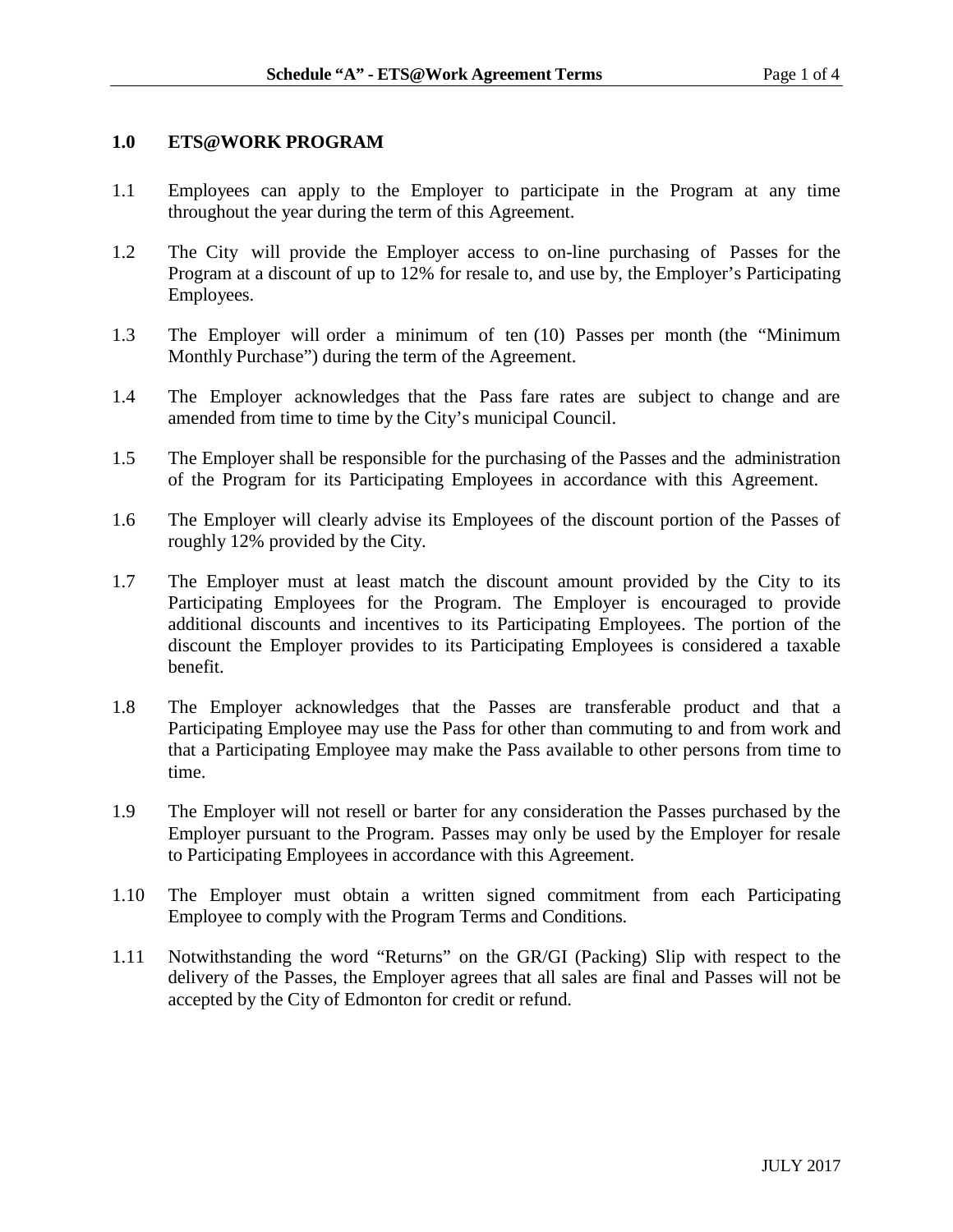## **1.0 ETS@WORK PROGRAM**

- 1.1 Employees can apply to the Employer to participate in the Program at any time throughout the year during the term of this Agreement.
- 1.2 The City will provide the Employer access to on-line purchasing of Passes for the Program at a discount of up to 12% for resale to, and use by, the Employer's Participating Employees.
- 1.3 The Employer will order a minimum of ten (10) Passes per month (the "Minimum Monthly Purchase") during the term of the Agreement.
- 1.4 The Employer acknowledges that the Pass fare rates are subject to change and are amended from time to time by the City's municipal Council.
- 1.5 The Employer shall be responsible for the purchasing of the Passes and the administration of the Program for its Participating Employees in accordance with this Agreement.
- 1.6 The Employer will clearly advise its Employees of the discount portion of the Passes of roughly 12% provided by the City.
- 1.7 The Employer must at least match the discount amount provided by the City to its Participating Employees for the Program. The Employer is encouraged to provide additional discounts and incentives to its Participating Employees. The portion of the discount the Employer provides to its Participating Employees is considered a taxable benefit.
- 1.8 The Employer acknowledges that the Passes are transferable product and that a Participating Employee may use the Pass for other than commuting to and from work and that a Participating Employee may make the Pass available to other persons from time to time.
- 1.9 The Employer will not resell or barter for any consideration the Passes purchased by the Employer pursuant to the Program. Passes may only be used by the Employer for resale to Participating Employees in accordance with this Agreement.
- 1.10 The Employer must obtain a written signed commitment from each Participating Employee to comply with the Program Terms and Conditions.
- 1.11 Notwithstanding the word "Returns" on the GR/GI (Packing) Slip with respect to the delivery of the Passes, the Employer agrees that all sales are final and Passes will not be accepted by the City of Edmonton for credit or refund.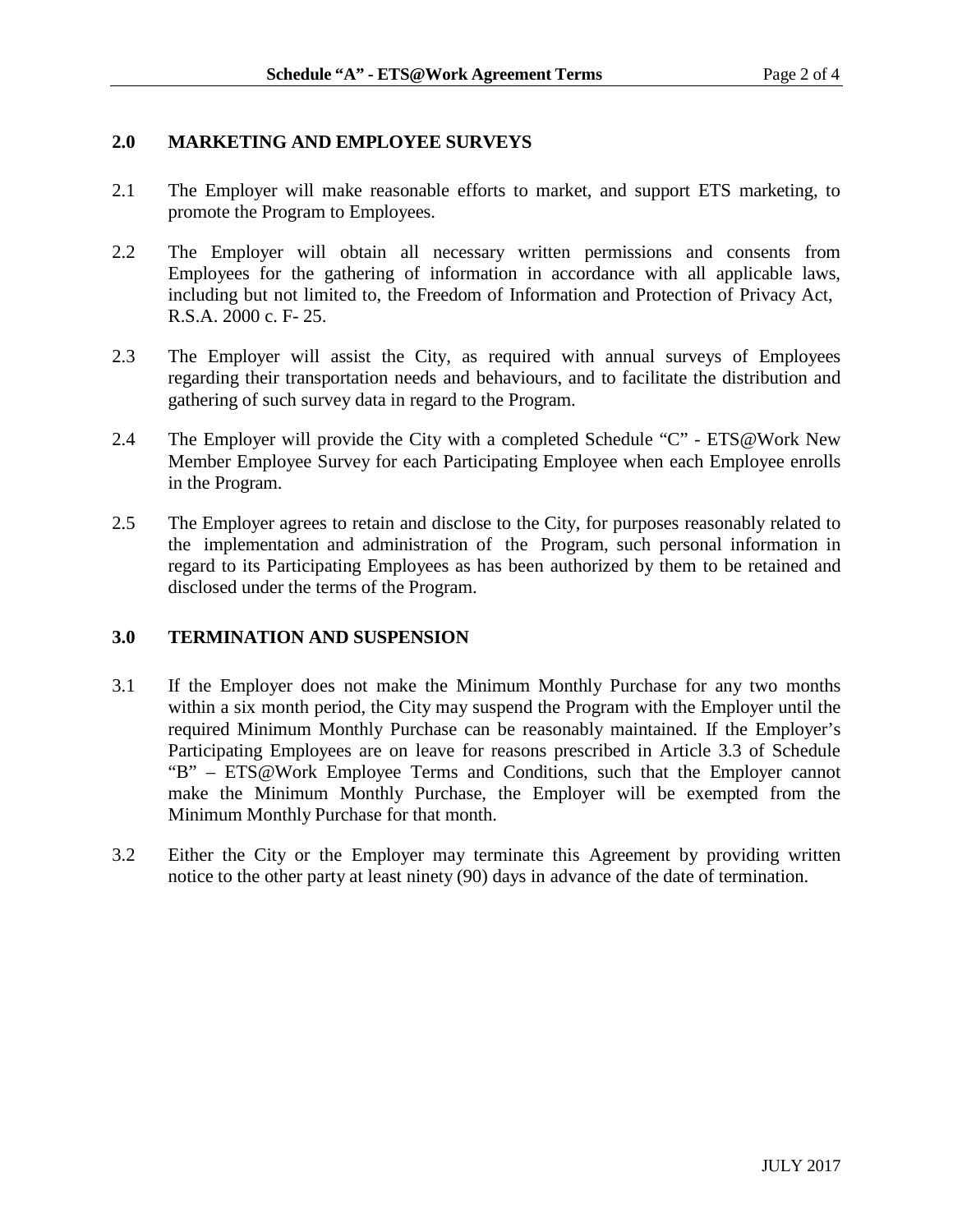# **2.0 MARKETING AND EMPLOYEE SURVEYS**

- 2.1 The Employer will make reasonable efforts to market, and support ETS marketing, to promote the Program to Employees.
- 2.2 The Employer will obtain all necessary written permissions and consents from Employees for the gathering of information in accordance with all applicable laws, including but not limited to, the Freedom of Information and Protection of Privacy Act, R.S.A. 2000 c. F- 25.
- 2.3 The Employer will assist the City, as required with annual surveys of Employees regarding their transportation needs and behaviours, and to facilitate the distribution and gathering of such survey data in regard to the Program.
- 2.4 The Employer will provide the City with a completed Schedule "C" ETS@Work New Member Employee Survey for each Participating Employee when each Employee enrolls in the Program.
- 2.5 The Employer agrees to retain and disclose to the City, for purposes reasonably related to the implementation and administration of the Program, such personal information in regard to its Participating Employees as has been authorized by them to be retained and disclosed under the terms of the Program.

# **3.0 TERMINATION AND SUSPENSION**

- 3.1 If the Employer does not make the Minimum Monthly Purchase for any two months within a six month period, the City may suspend the Program with the Employer until the required Minimum Monthly Purchase can be reasonably maintained. If the Employer's Participating Employees are on leave for reasons prescribed in Article 3.3 of Schedule "B" – ETS@Work Employee Terms and Conditions, such that the Employer cannot make the Minimum Monthly Purchase, the Employer will be exempted from the Minimum Monthly Purchase for that month.
- 3.2 Either the City or the Employer may terminate this Agreement by providing written notice to the other party at least ninety (90) days in advance of the date of termination.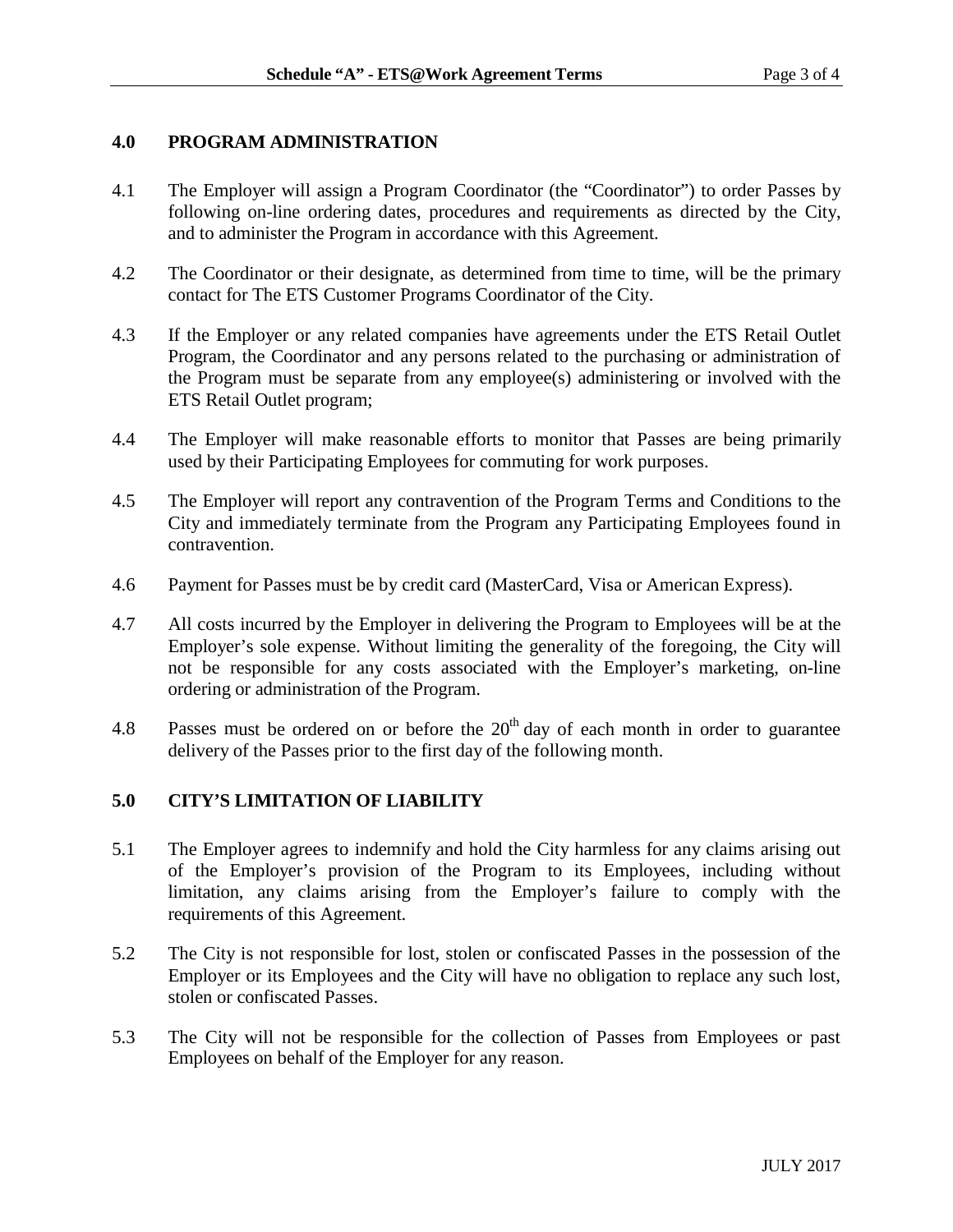# **4.0 PROGRAM ADMINISTRATION**

- 4.1 The Employer will assign a Program Coordinator (the "Coordinator") to order Passes by following on-line ordering dates, procedures and requirements as directed by the City, and to administer the Program in accordance with this Agreement.
- 4.2 The Coordinator or their designate, as determined from time to time, will be the primary contact for The ETS Customer Programs Coordinator of the City.
- 4.3 If the Employer or any related companies have agreements under the ETS Retail Outlet Program, the Coordinator and any persons related to the purchasing or administration of the Program must be separate from any employee(s) administering or involved with the ETS Retail Outlet program;
- 4.4 The Employer will make reasonable efforts to monitor that Passes are being primarily used by their Participating Employees for commuting for work purposes.
- 4.5 The Employer will report any contravention of the Program Terms and Conditions to the City and immediately terminate from the Program any Participating Employees found in contravention.
- 4.6 Payment for Passes must be by credit card (MasterCard, Visa or American Express).
- 4.7 All costs incurred by the Employer in delivering the Program to Employees will be at the Employer's sole expense. Without limiting the generality of the foregoing, the City will not be responsible for any costs associated with the Employer's marketing, on-line ordering or administration of the Program.
- 4.8 Passes must be ordered on or before the  $20<sup>th</sup>$  day of each month in order to guarantee delivery of the Passes prior to the first day of the following month.

# **5.0 CITY'S LIMITATION OF LIABILITY**

- 5.1 The Employer agrees to indemnify and hold the City harmless for any claims arising out of the Employer's provision of the Program to its Employees, including without limitation, any claims arising from the Employer's failure to comply with the requirements of this Agreement.
- 5.2 The City is not responsible for lost, stolen or confiscated Passes in the possession of the Employer or its Employees and the City will have no obligation to replace any such lost, stolen or confiscated Passes.
- 5.3 The City will not be responsible for the collection of Passes from Employees or past Employees on behalf of the Employer for any reason.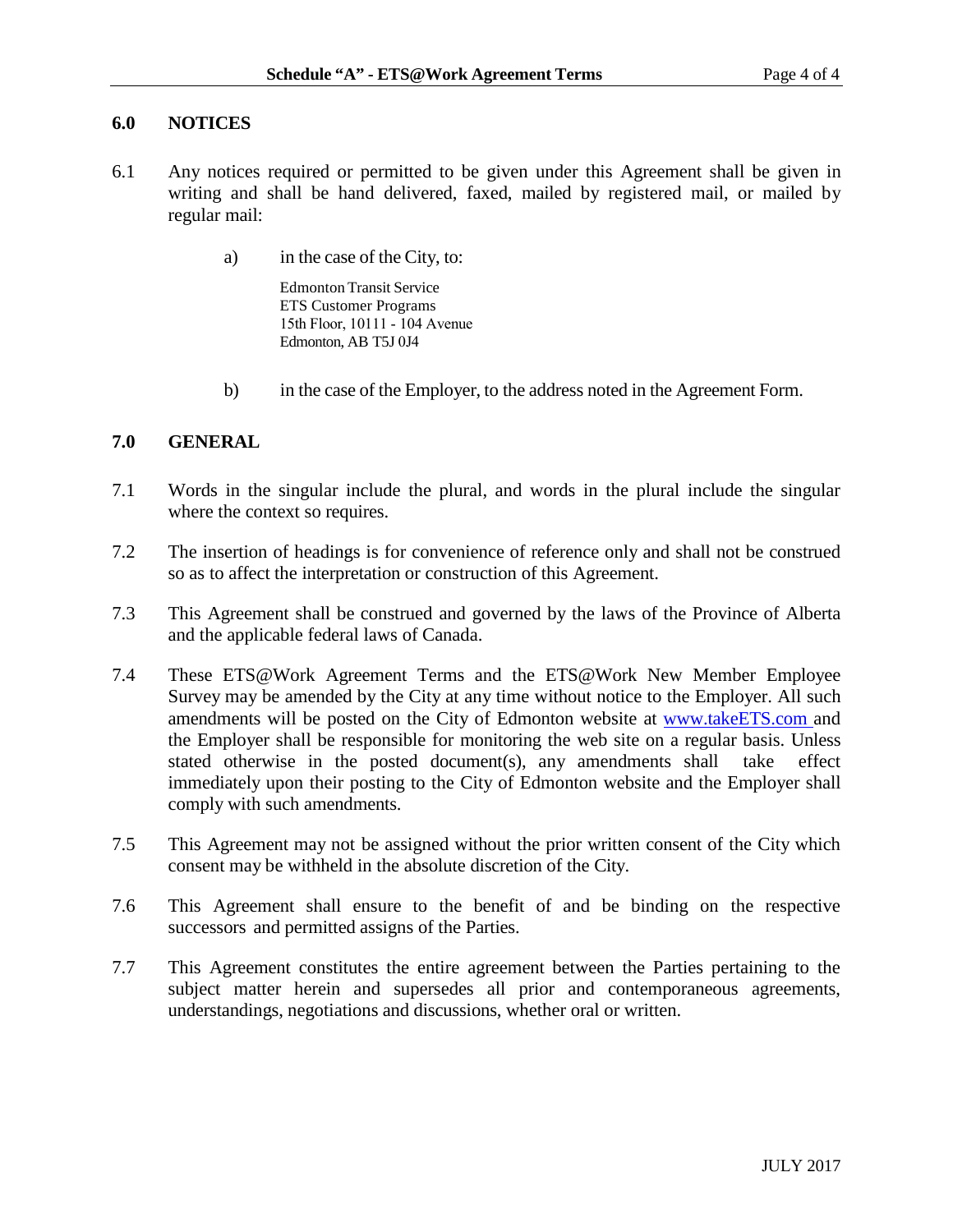## **6.0 NOTICES**

- 6.1 Any notices required or permitted to be given under this Agreement shall be given in writing and shall be hand delivered, faxed, mailed by registered mail, or mailed by regular mail:
	- a) in the case of the City, to:

Edmonton Transit Service ETS Customer Programs 15th Floor, 10111 - 104 Avenue Edmonton, AB T5J 0J4

b) in the case of the Employer, to the address noted in the Agreement Form.

## **7.0 GENERAL**

- 7.1 Words in the singular include the plural, and words in the plural include the singular where the context so requires.
- 7.2 The insertion of headings is for convenience of reference only and shall not be construed so as to affect the interpretation or construction of this Agreement.
- 7.3 This Agreement shall be construed and governed by the laws of the Province of Alberta and the applicable federal laws of Canada.
- 7.4 These ETS@Work Agreement Terms and the ETS@Work New Member Employee Survey may be amended by the City at any time without notice to the Employer. All such amendments will be posted on the City of Edmonton website at [www.takeETS.com](http://www.takeets.com/) and the Employer shall be responsible for monitoring the web site on a regular basis. Unless stated otherwise in the posted document(s), any amendments shall take effect immediately upon their posting to the City of Edmonton website and the Employer shall comply with such amendments.
- 7.5 This Agreement may not be assigned without the prior written consent of the City which consent may be withheld in the absolute discretion of the City.
- 7.6 This Agreement shall ensure to the benefit of and be binding on the respective successors and permitted assigns of the Parties.
- 7.7 This Agreement constitutes the entire agreement between the Parties pertaining to the subject matter herein and supersedes all prior and contemporaneous agreements, understandings, negotiations and discussions, whether oral or written.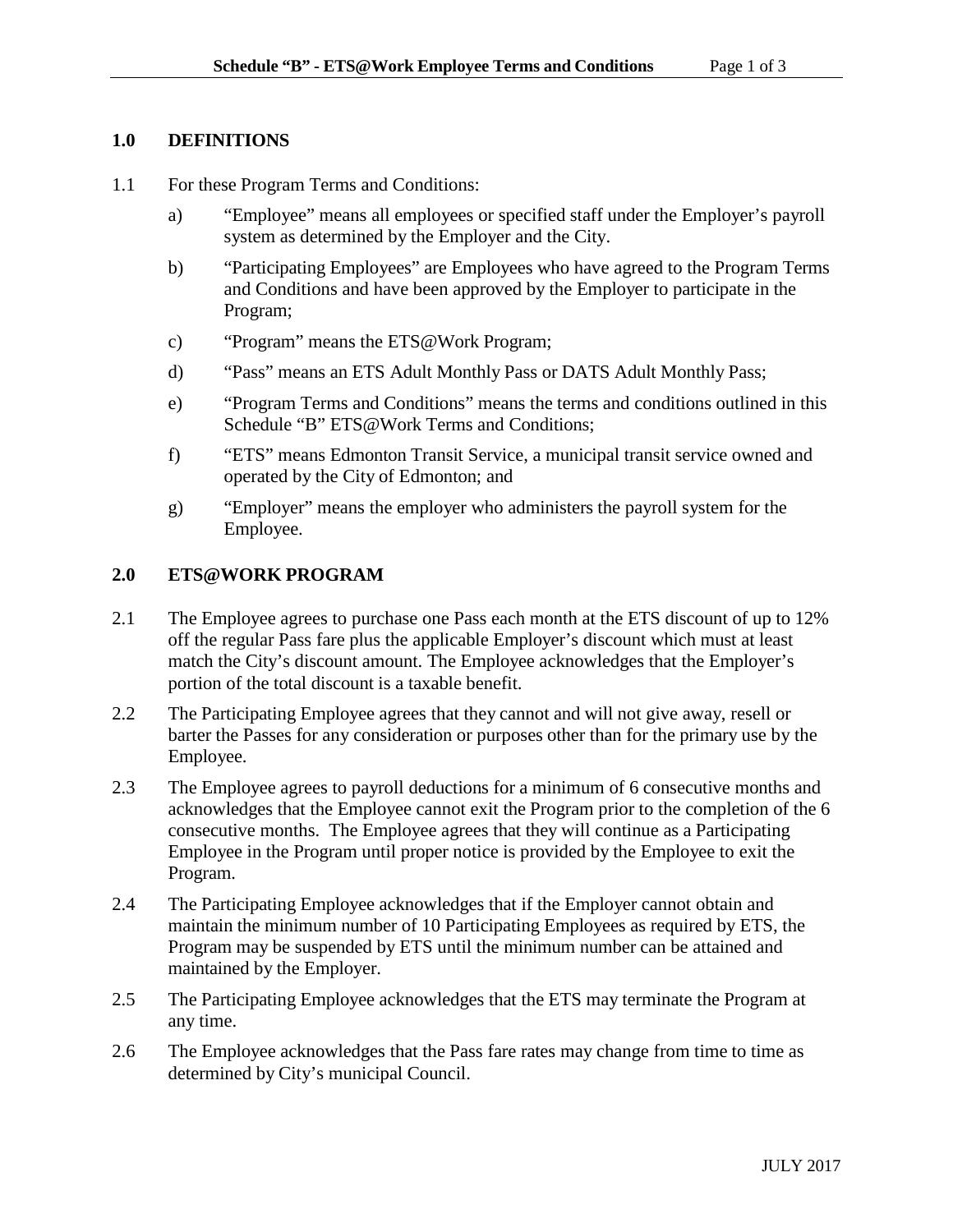# **1.0 DEFINITIONS**

- 1.1 For these Program Terms and Conditions:
	- a) "Employee" means all employees or specified staff under the Employer's payroll system as determined by the Employer and the City.
	- b) "Participating Employees" are Employees who have agreed to the Program Terms and Conditions and have been approved by the Employer to participate in the Program;
	- c) "Program" means the ETS@Work Program;
	- d) "Pass" means an ETS Adult Monthly Pass or DATS Adult Monthly Pass;
	- e) "Program Terms and Conditions" means the terms and conditions outlined in this Schedule "B" ETS@Work Terms and Conditions;
	- f) "ETS" means Edmonton Transit Service, a municipal transit service owned and operated by the City of Edmonton; and
	- g) "Employer" means the employer who administers the payroll system for the Employee.

# **2.0 ETS@WORK PROGRAM**

- 2.1 The Employee agrees to purchase one Pass each month at the ETS discount of up to 12% off the regular Pass fare plus the applicable Employer's discount which must at least match the City's discount amount. The Employee acknowledges that the Employer's portion of the total discount is a taxable benefit.
- 2.2 The Participating Employee agrees that they cannot and will not give away, resell or barter the Passes for any consideration or purposes other than for the primary use by the Employee.
- 2.3 The Employee agrees to payroll deductions for a minimum of 6 consecutive months and acknowledges that the Employee cannot exit the Program prior to the completion of the 6 consecutive months. The Employee agrees that they will continue as a Participating Employee in the Program until proper notice is provided by the Employee to exit the Program.
- 2.4 The Participating Employee acknowledges that if the Employer cannot obtain and maintain the minimum number of 10 Participating Employees as required by ETS, the Program may be suspended by ETS until the minimum number can be attained and maintained by the Employer.
- 2.5 The Participating Employee acknowledges that the ETS may terminate the Program at any time.
- 2.6 The Employee acknowledges that the Pass fare rates may change from time to time as determined by City's municipal Council.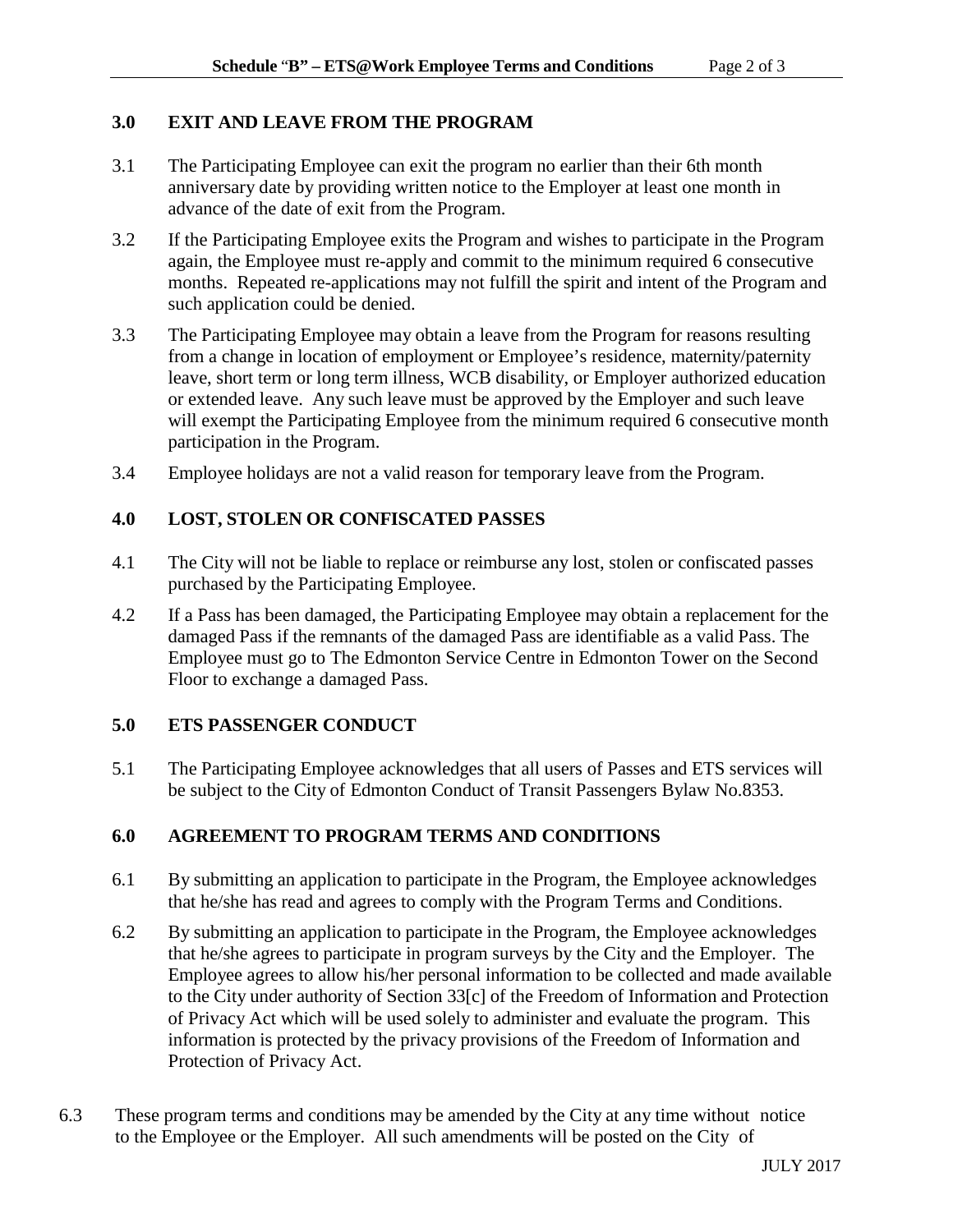## **3.0 EXIT AND LEAVE FROM THE PROGRAM**

- 3.1 The Participating Employee can exit the program no earlier than their 6th month anniversary date by providing written notice to the Employer at least one month in advance of the date of exit from the Program.
- 3.2 If the Participating Employee exits the Program and wishes to participate in the Program again, the Employee must re-apply and commit to the minimum required 6 consecutive months. Repeated re-applications may not fulfill the spirit and intent of the Program and such application could be denied.
- 3.3 The Participating Employee may obtain a leave from the Program for reasons resulting from a change in location of employment or Employee's residence, maternity/paternity leave, short term or long term illness, WCB disability, or Employer authorized education or extended leave. Any such leave must be approved by the Employer and such leave will exempt the Participating Employee from the minimum required 6 consecutive month participation in the Program.
- 3.4 Employee holidays are not a valid reason for temporary leave from the Program.

# **4.0 LOST, STOLEN OR CONFISCATED PASSES**

- 4.1 The City will not be liable to replace or reimburse any lost, stolen or confiscated passes purchased by the Participating Employee.
- 4.2 If a Pass has been damaged, the Participating Employee may obtain a replacement for the damaged Pass if the remnants of the damaged Pass are identifiable as a valid Pass. The Employee must go to The Edmonton Service Centre in Edmonton Tower on the Second Floor to exchange a damaged Pass.

# **5.0 ETS PASSENGER CONDUCT**

5.1 The Participating Employee acknowledges that all users of Passes and ETS services will be subject to the City of Edmonton Conduct of Transit Passengers Bylaw No.8353.

# **6.0 AGREEMENT TO PROGRAM TERMS AND CONDITIONS**

- 6.1 By submitting an application to participate in the Program, the Employee acknowledges that he/she has read and agrees to comply with the Program Terms and Conditions.
- 6.2 By submitting an application to participate in the Program, the Employee acknowledges that he/she agrees to participate in program surveys by the City and the Employer. The Employee agrees to allow his/her personal information to be collected and made available to the City under authority of Section 33[c] of the Freedom of Information and Protection of Privacy Act which will be used solely to administer and evaluate the program. This information is protected by the privacy provisions of the Freedom of Information and Protection of Privacy Act.
- 6.3 These program terms and conditions may be amended by the City at any time without notice to the Employee or the Employer. All such amendments will be posted on the City of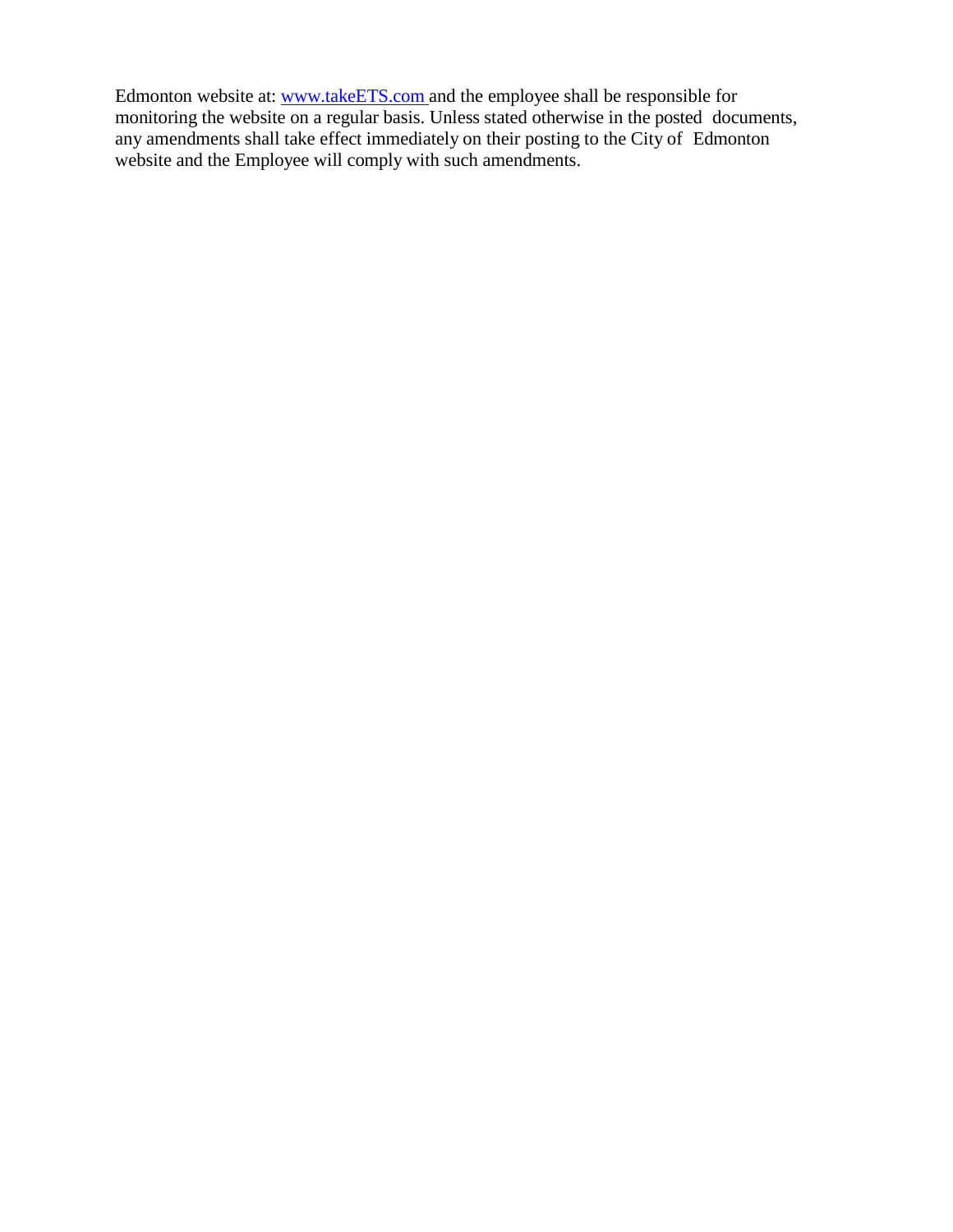Edmonton website at: [www.takeETS.com](http://www.takeets.com/) and the employee shall be responsible for monitoring the website on a regular basis. Unless stated otherwise in the posted documents, any amendments shall take effect immediately on their posting to the City of Edmonton website and the Employee will comply with such amendments.